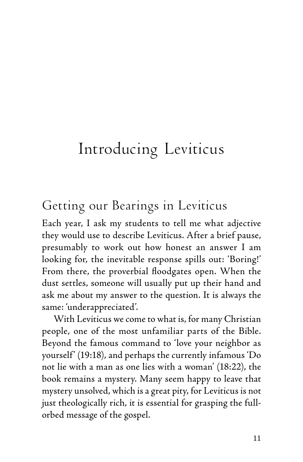# Introducing Leviticus

# Getting our Bearings in Leviticus

Each year, I ask my students to tell me what adjective they would use to describe Leviticus. After a brief pause, presumably to work out how honest an answer I am looking for, the inevitable response spills out: 'Boring!' From there, the proverbial floodgates open. When the dust settles, someone will usually put up their hand and ask me about my answer to the question. It is always the same: 'underappreciated'.

With Leviticus we come to what is, for many Christian people, one of the most unfamiliar parts of the Bible. Beyond the famous command to 'love your neighbor as yourself' (19:18), and perhaps the currently infamous 'Do not lie with a man as one lies with a woman' (18:22), the book remains a mystery. Many seem happy to leave that mystery unsolved, which is a great pity, for Leviticus is not just theologically rich, it is essential for grasping the fullorbed message of the gospel.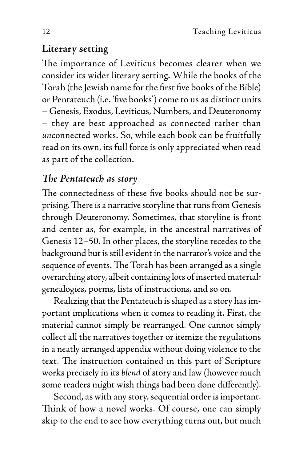#### **Literary setting**

The importance of Leviticus becomes clearer when we consider its wider literary setting. While the books of the Torah (the Jewish name for the first five books of the Bible) or Pentateuch (i.e. 'five books') come to us as distinct units – Genesis, Exodus, Leviticus, Numbers, and Deuteronomy – they are best approached as connected rather than *un*connected works. So, while each book can be fruitfully read on its own, its full force is only appreciated when read as part of the collection.

#### *The Pentateuch as story*

The connectedness of these five books should not be surprising. There is a narrative storyline that runs from Genesis through Deuteronomy. Sometimes, that storyline is front and center as, for example, in the ancestral narratives of Genesis 12–50. In other places, the storyline recedes to the background but is still evident in the narrator's voice and the sequence of events. The Torah has been arranged as a single overarching story, albeit containing lots of inserted material: genealogies, poems, lists of instructions, and so on.

Realizing that the Pentateuch is shaped as a story has important implications when it comes to reading it. First, the material cannot simply be rearranged. One cannot simply collect all the narratives together or itemize the regulations in a neatly arranged appendix without doing violence to the text. The instruction contained in this part of Scripture works precisely in its *blend* of story and law (however much some readers might wish things had been done differently).

Second, as with any story, sequential order is important. Think of how a novel works. Of course, one can simply skip to the end to see how everything turns out, but much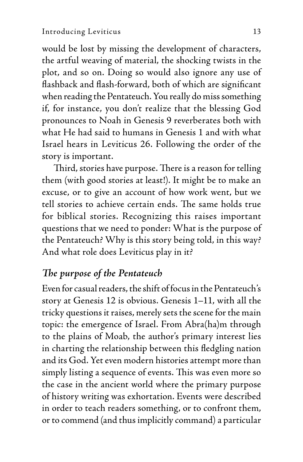would be lost by missing the development of characters, the artful weaving of material, the shocking twists in the plot, and so on. Doing so would also ignore any use of flashback and flash-forward, both of which are significant when reading the Pentateuch. You really do miss something if, for instance, you don't realize that the blessing God pronounces to Noah in Genesis 9 reverberates both with what He had said to humans in Genesis 1 and with what Israel hears in Leviticus 26. Following the order of the story is important.

Third, stories have purpose. There is a reason for telling them (with good stories at least!). It might be to make an excuse, or to give an account of how work went, but we tell stories to achieve certain ends. The same holds true for biblical stories. Recognizing this raises important questions that we need to ponder: What is the purpose of the Pentateuch? Why is this story being told, in this way? And what role does Leviticus play in it?

#### *The purpose of the Pentateuch*

Even for casual readers, the shift of focus in the Pentateuch's story at Genesis 12 is obvious. Genesis 1–11, with all the tricky questions it raises, merely sets the scene for the main topic: the emergence of Israel. From Abra(ha)m through to the plains of Moab, the author's primary interest lies in charting the relationship between this fledgling nation and its God. Yet even modern histories attempt more than simply listing a sequence of events. This was even more so the case in the ancient world where the primary purpose of history writing was exhortation. Events were described in order to teach readers something, or to confront them, or to commend (and thus implicitly command) a particular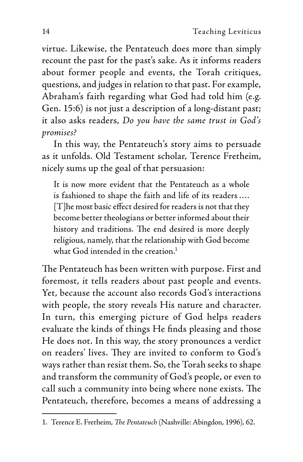virtue. Likewise, the Pentateuch does more than simply recount the past for the past's sake. As it informs readers about former people and events, the Torah critiques, questions, and judges in relation to that past. For example, Abraham's faith regarding what God had told him (e.g. Gen. 15:6) is not just a description of a long-distant past; it also asks readers, *Do you have the same trust in God's promises?*

In this way, the Pentateuch's story aims to persuade as it unfolds. Old Testament scholar, Terence Fretheim, nicely sums up the goal of that persuasion:

It is now more evident that the Pentateuch as a whole is fashioned to shape the faith and life of its readers …. [T]he most basic effect desired for readers is not that they become better theologians or better informed about their history and traditions. The end desired is more deeply religious, namely, that the relationship with God become what God intended in the creation. $<sup>1</sup>$ </sup>

The Pentateuch has been written with purpose. First and foremost, it tells readers about past people and events. Yet, because the account also records God's interactions with people, the story reveals His nature and character. In turn, this emerging picture of God helps readers evaluate the kinds of things He finds pleasing and those He does not. In this way, the story pronounces a verdict on readers' lives. They are invited to conform to God's ways rather than resist them. So, the Torah seeks to shape and transform the community of God's people, or even to call such a community into being where none exists. The Pentateuch, therefore, becomes a means of addressing a

<sup>1.</sup> Terence E. Fretheim, *The Pentateuch* (Nashville: Abingdon, 1996), 62.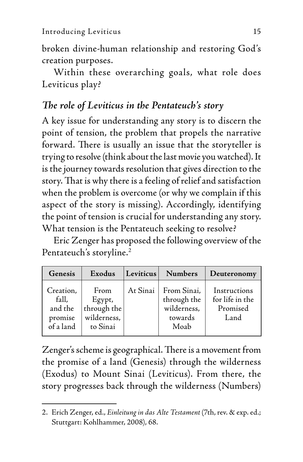broken divine-human relationship and restoring God's creation purposes.

Within these overarching goals, what role does Leviticus play?

## *The role of Leviticus in the Pentateuch's story*

A key issue for understanding any story is to discern the point of tension, the problem that propels the narrative forward. There is usually an issue that the storyteller is trying to resolve (think about the last movie you watched). It is the journey towards resolution that gives direction to the story. That is why there is a feeling of relief and satisfaction when the problem is overcome (or why we complain if this aspect of the story is missing). Accordingly, identifying the point of tension is crucial for understanding any story. What tension is the Pentateuch seeking to resolve?

Eric Zenger has proposed the following overview of the Pentateuch's storyline.<sup>2</sup>

| Genesis                                               | Exodus                                                   | Leviticus | <b>Numbers</b>                                               | Deuteronomy                                         |
|-------------------------------------------------------|----------------------------------------------------------|-----------|--------------------------------------------------------------|-----------------------------------------------------|
| Creation,<br>fall,<br>and the<br>promise<br>of a land | From<br>Egypt,<br>through the<br>wilderness,<br>to Sinai | At Sinai  | From Sinai,<br>through the<br>wilderness,<br>towards<br>Moab | Instructions<br>for life in the<br>Promised<br>Land |

Zenger's scheme is geographical. There is a movement from the promise of a land (Genesis) through the wilderness (Exodus) to Mount Sinai (Leviticus). From there, the story progresses back through the wilderness (Numbers)

<sup>2.</sup> Erich Zenger, ed., *Einleitung in das Alte Testament* (7th, rev. & exp. ed.; Stuttgart: Kohlhammer, 2008), 68.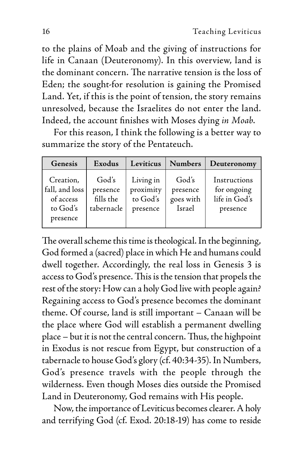to the plains of Moab and the giving of instructions for life in Canaan (Deuteronomy). In this overview, land is the dominant concern. The narrative tension is the loss of Eden; the sought-for resolution is gaining the Promised Land. Yet, if this is the point of tension, the story remains unresolved, because the Israelites do not enter the land. Indeed, the account finishes with Moses dying *in Moab*.

For this reason, I think the following is a better way to summarize the story of the Pentateuch.

| Genesis                                                          | Exodus                                       | Leviticus                                      | <b>Numbers</b>                           | Deuteronomy                                              |
|------------------------------------------------------------------|----------------------------------------------|------------------------------------------------|------------------------------------------|----------------------------------------------------------|
| Creation,<br>fall, and loss<br>of access<br>to God's<br>presence | God's<br>presence<br>fills the<br>tabernacle | Living in<br>proximity<br>to God's<br>presence | God's<br>presence<br>goes with<br>Israel | Instructions<br>for ongoing<br>life in God's<br>presence |

The overall scheme this time is theological. In the beginning, God formed a (sacred) place in which He and humans could dwell together. Accordingly, the real loss in Genesis 3 is access to God's presence. This is the tension that propels the rest of the story: How can a holy God live with people again? Regaining access to God's presence becomes the dominant theme. Of course, land is still important – Canaan will be the place where God will establish a permanent dwelling place – but it is not the central concern. Thus, the highpoint in Exodus is not rescue from Egypt, but construction of a tabernacle to house God's glory (cf. 40:34-35). In Numbers, God's presence travels with the people through the wilderness. Even though Moses dies outside the Promised Land in Deuteronomy, God remains with His people.

Now, the importance of Leviticus becomes clearer. A holy and terrifying God (cf. Exod. 20:18-19) has come to reside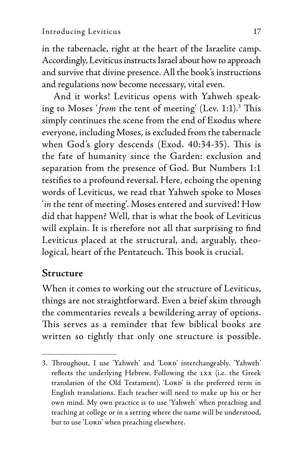in the tabernacle, right at the heart of the Israelite camp. Accordingly, Leviticus instructs Israel about how to approach and survive that divine presence. All the book's instructions and regulations now become necessary, vital even.

And it works! Leviticus opens with Yahweh speaking to Moses ' *from* the tent of meeting' (Lev. 1:1).3 This simply continues the scene from the end of Exodus where everyone, including Moses, is excluded from the tabernacle when God's glory descends (Exod. 40:34-35). This is the fate of humanity since the Garden: exclusion and separation from the presence of God. But Numbers 1:1 testifies to a profound reversal. Here, echoing the opening words of Leviticus, we read that Yahweh spoke to Moses '*in* the tent of meeting'. Moses entered and survived! How did that happen? Well, that is what the book of Leviticus will explain. It is therefore not all that surprising to find Leviticus placed at the structural, and, arguably, theological, heart of the Pentateuch. This book is crucial.

#### **Structure**

When it comes to working out the structure of Leviticus, things are not straightforward. Even a brief skim through the commentaries reveals a bewildering array of options. This serves as a reminder that few biblical books are written so tightly that only one structure is possible.

<sup>3.</sup> Throughout, I use 'Yahweh' and 'LORD' interchangeably. 'Yahweh' reflects the underlying Hebrew. Following the lxx (i.e. the Greek translation of the Old Testament), 'LORD' is the preferred term in English translations. Each teacher will need to make up his or her own mind. My own practice is to use 'Yahweh' when preaching and teaching at college or in a setting where the name will be understood, but to use 'LORD' when preaching elsewhere.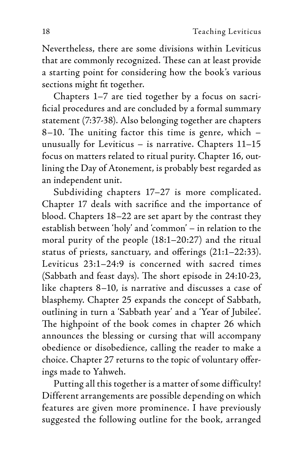Nevertheless, there are some divisions within Leviticus that are commonly recognized. These can at least provide a starting point for considering how the book's various sections might fit together.

Chapters 1–7 are tied together by a focus on sacrificial procedures and are concluded by a formal summary statement (7:37-38). Also belonging together are chapters 8–10. The uniting factor this time is genre, which – unusually for Leviticus – is narrative. Chapters 11–15 focus on matters related to ritual purity. Chapter 16, outlining the Day of Atonement, is probably best regarded as an independent unit.

Subdividing chapters 17–27 is more complicated. Chapter 17 deals with sacrifice and the importance of blood. Chapters 18–22 are set apart by the contrast they establish between 'holy' and 'common' – in relation to the moral purity of the people (18:1–20:27) and the ritual status of priests, sanctuary, and offerings (21:1–22:33). Leviticus 23:1–24:9 is concerned with sacred times (Sabbath and feast days). The short episode in 24:10-23, like chapters 8–10, is narrative and discusses a case of blasphemy. Chapter 25 expands the concept of Sabbath, outlining in turn a 'Sabbath year' and a 'Year of Jubilee'. The highpoint of the book comes in chapter 26 which announces the blessing or cursing that will accompany obedience or disobedience, calling the reader to make a choice. Chapter 27 returns to the topic of voluntary offerings made to Yahweh.

Putting all this together is a matter of some difficulty! Different arrangements are possible depending on which features are given more prominence. I have previously suggested the following outline for the book, arranged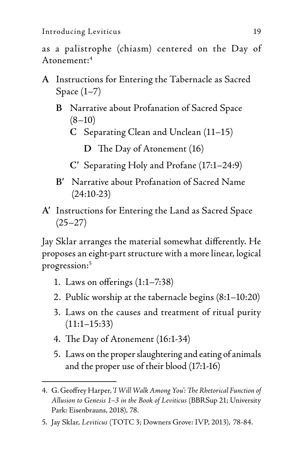Introducing Leviticus 19

as a palistrophe (chiasm) centered on the Day of Atonement:4

- **A** Instructions for Entering the Tabernacle as Sacred Space  $(1-7)$ 
	- **B** Narrative about Profanation of Sacred Space  $(8-10)$ 
		- **C** Separating Clean and Unclean (11–15)

**D** The Day of Atonement (16)

- **C'** Separating Holy and Profane (17:1–24:9)
- **B'** Narrative about Profanation of Sacred Name (24:10-23)
- **A'** Instructions for Entering the Land as Sacred Space  $(25-27)$

Jay Sklar arranges the material somewhat differently. He proposes an eight-part structure with a more linear, logical progression:5

- 1. Laws on offerings (1:1–7:38)
- 2. Public worship at the tabernacle begins (8:1–10:20)
- 3. Laws on the causes and treatment of ritual purity  $(11:1-15:33)$
- 4. The Day of Atonement (16:1-34)
- 5. Laws on the proper slaughtering and eating of animals and the proper use of their blood (17:1-16)

<sup>4.</sup> G. Geoffrey Harper, '*I Will Walk Among You': The Rhetorical Function of Allusion to Genesis 1–3 in the Book of Leviticus* (BBRSup 21; University Park: Eisenbrauns, 2018), 78.

<sup>5.</sup> Jay Sklar, *Leviticus* (TOTC 3; Downers Grove: IVP, 2013), 78-84.